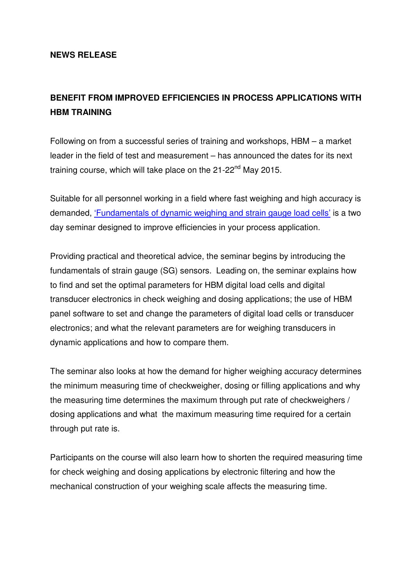## **NEWS RELEASE**

## **BENEFIT FROM IMPROVED EFFICIENCIES IN PROCESS APPLICATIONS WITH HBM TRAINING**

Following on from a successful series of training and workshops, HBM – a market leader in the field of test and measurement – has announced the dates for its next training course, which will take place on the  $21$ -22<sup>nd</sup> May 2015.

Suitable for all personnel working in a field where fast weighing and high accuracy is demanded, 'Fundamentals of dynamic weighing and strain gauge load cells' is a two day seminar designed to improve efficiencies in your process application.

Providing practical and theoretical advice, the seminar begins by introducing the fundamentals of strain gauge (SG) sensors. Leading on, the seminar explains how to find and set the optimal parameters for HBM digital load cells and digital transducer electronics in check weighing and dosing applications; the use of HBM panel software to set and change the parameters of digital load cells or transducer electronics; and what the relevant parameters are for weighing transducers in dynamic applications and how to compare them.

The seminar also looks at how the demand for higher weighing accuracy determines the minimum measuring time of checkweigher, dosing or filling applications and why the measuring time determines the maximum through put rate of checkweighers / dosing applications and what the maximum measuring time required for a certain through put rate is.

Participants on the course will also learn how to shorten the required measuring time for check weighing and dosing applications by electronic filtering and how the mechanical construction of your weighing scale affects the measuring time.